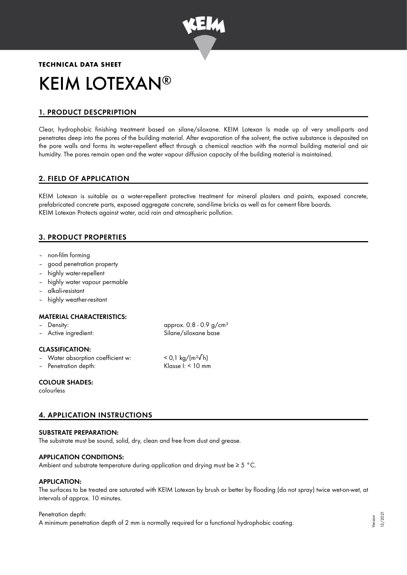

# **TECHNICAL DATA SHEET** KEIM LOTEXAN ®

# 1. PRODUCT DESCPRIPTION

Clear, hydrophobic finishing treatment based on silane/siloxane. KEIM Lotexan Is made up of very small-parts and penetrates deep into the pores of the building material. After evaporation of the solvent, the active substance is deposited on the pore walls and forms its water-repellent effect through a chemical reaction with the normal building material and air humidity. The pores remain open and the water vapour diffusion capacity of the building material is maintained.

# 2. FIELD OF APPLICATION

KEIM Lotexan is suitable as a water-repellent protective treatment for mineral plasters and paints, exposed concrete, prefabricated concrete parts, exposed aggregate concrete, sand-lime bricks as well as for cement fibre boards. KEIM Lotexan Protects against water, acid rain and atmospheric pollution.

# 3. PRODUCT PROPERTIES

- non-film forming
- good penetration property
- highly water-repellent
- highly water vapour permable
- alkali-resistant
- highly weather-resitant

#### MATERIAL CHARACTERISTICS:

| – Density:<br>- Active ingredient: | approx. $0.8 - 0.9$ g/cm <sup>3</sup><br>Silane/siloxane base |
|------------------------------------|---------------------------------------------------------------|
| CLACCIEICATIONI.                   |                                                               |

#### CLASSIFICATION:

|  | Water absorption coefficient w: | < 0.1 |
|--|---------------------------------|-------|
|  |                                 |       |

 $kq/(m^2\sqrt{h})$ – Penetration depth: Klasse I: < 10 mm

#### COLOUR SHADES:

colourless

# 4. APPLICATION INSTRUCTIONS

#### SUBSTRATE PREPARATION:

The substrate must be sound, solid, dry, clean and free from dust and grease.

#### APPLICATION CONDITIONS:

Ambient and substrate temperature during application and drying must be  $\geq 5$  °C.

## APPLICATION:

The surfaces to be treated are saturated with KEIM Lotexan by brush or better by flooding (do not spray) twice wet-on-wet, at intervals of approx. 10 minutes.

#### Penetration depth:

A minimum penetration depth of 2 mm is normally required for a functional hydrophobic coating.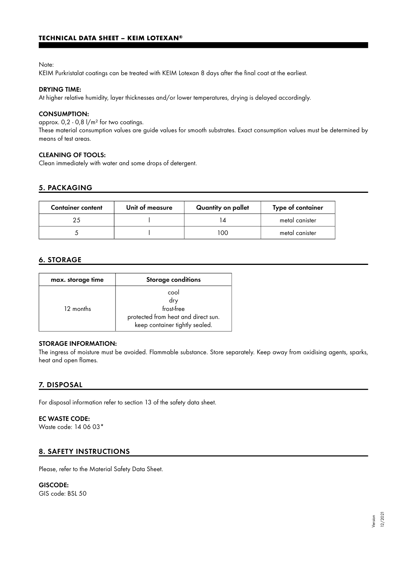## **TECHNICAL DATA SHEET – KEIM LOTEXAN®**

#### Note:

KEIM Purkristalat coatings can be treated with KEIM Lotexan 8 days after the final coat at the earliest.

#### DRYING TIME:

At higher relative humidity, layer thicknesses and/or lower temperatures, drying is delayed accordingly.

## CONSUMPTION:

approx.  $0.2 - 0.8$   $1/m<sup>2</sup>$  for two coatings.

These material consumption values are guide values for smooth substrates. Exact consumption values must be determined by means of test areas.

## CLEANING OF TOOLS:

Clean immediately with water and some drops of detergent.

## 5. PACKAGING

| <b>Container content</b> | Unit of measure | Quantity on pallet | Type of container |
|--------------------------|-----------------|--------------------|-------------------|
|                          |                 |                    | metal canister    |
|                          |                 | 100                | metal canister    |

## 6. STORAGE

| max. storage time | Storage conditions                                                                                 |
|-------------------|----------------------------------------------------------------------------------------------------|
| 12 months         | cool<br>dry<br>frost-free<br>protected from heat and direct sun.<br>keep container tightly sealed. |

## STORAGE INFORMATION:

The ingress of moisture must be avoided. Flammable substance. Store separately. Keep away from oxidising agents, sparks, heat and open flames.

#### 7. DISPOSAL

For disposal information refer to section 13 of the safety data sheet.

EC WASTE CODE: Waste code: 14 06 03\*

## 8. SAFETY INSTRUCTIONS

Please, refer to the Material Safety Data Sheet.

#### GISCODE:

GIS code: BSL 50